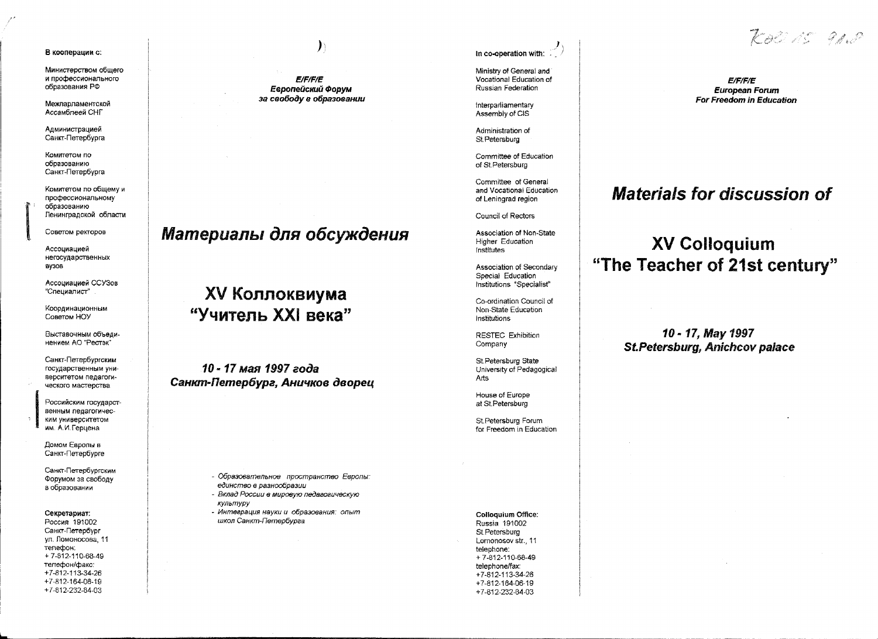#### В кооперации с:

Министерством общего и профессионального образования РФ

Межларламентской Ассамблеей СНГ

Администрацией Санкт-Петербурга

Комитетом по образованию Санкт-Петербурга

Комитетом по общему и профессиональному образованию Ленинградской области

Советом ректоров

Ассоциацией негосударственных вузов

Ассоциацией ССУЗов "Специалист"

Координационным Советом НОУ

Выставочным объединением АО "Рестэк"

Санкт-Петербургским государственным университетом педагогического мастерства

Российским государственным педагогическим университетом им. А.И. Герцена

Домом Европы в Санкт-Петербурге

Санкт-Петербургским Форумом за свободу в образовании

Секретариат:

Россия 191002 Санкт-Петербург ул. Ломоносова. 11 тепефон:  $+7-812-110-68-49$ телефон/факс: +7-812-113-34-26 +7-812-164-06-19 +7-812-232-84-03

**E/F/F/E** Европейский Форум за свободу в образовании

Материалы для обсуждения

XV Коллоквиума

"Учитель XXI века"

10 - 17 мая 1997 года

единство в разнообразии

школ Санкт-Петербурга

культуру

Санкт-Петербург, Аничков дворец

- Образовательное пространство Европы:

- Вклад России в мировую педагогическую

- Интеграция науки и образования: опыт

Interparliamentary Assembly of CIS

In co-operation with:

Ministry of General and

Vocational Education of

**Russian Federation** 

Administration of St Petersburg

Committee of Education of St.Petersburg

Committee of General and Vocational Education of Leningrad region

Council of Rectors

Association of Non-State Higher Education Institutes

Association of Secondary Special Education Institutions "Specialist"

Co-ordination Council of Non-State Education Institutions

**RESTEC Exhibition** Company

St. Petersburg State University of Pedagogical Arts

House of Europe at St.Petersburg

St.Petersburg Forum for Freedom in Education

Colloquium Office: Russia 191002 St Petersburg Lomonosov str., 11 telephone: +7-812-110-68-49 telephone/fax: +7-812-113-34-26 +7-812-164-06-19 +7-812-232-84-03

ROBERT RAID

**E/F/F/E European Forum For Freedom in Education** 

## Materials for discussion of

# **XV Colloquium** "The Teacher of 21st century"

#### 10 - 17, May 1997 **St.Petersburg, Anichcov palace**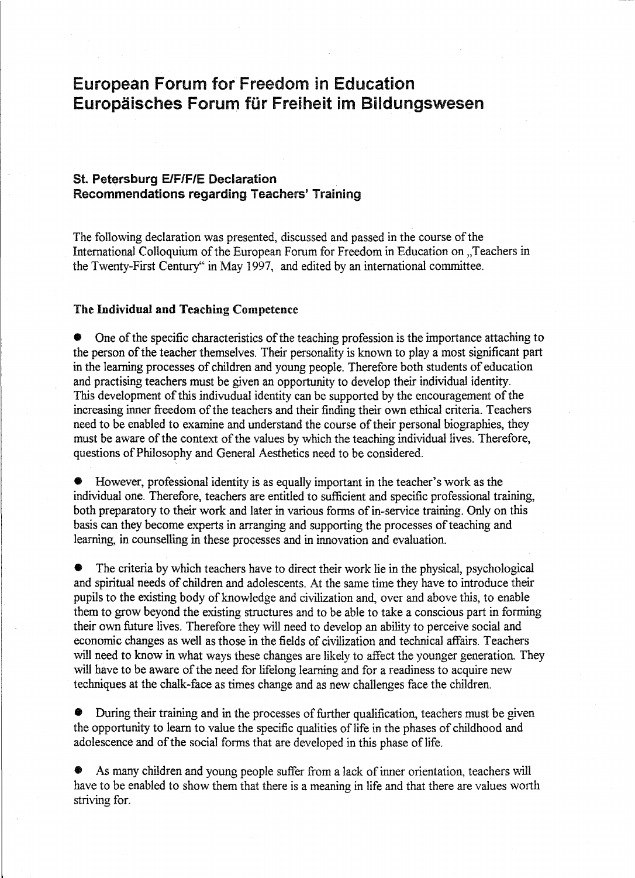## European Forum for Freedom in Education Europäisches Forum für Freiheit im Bildungswesen

## St. Petersburg E/F/F/E Declaration Recommendations regarding Teachers' Training

The foIlowing declaration was presented, discussed and passed in the course of the International Colloquium of the European Forum for Freedom in Education on "Teachers in the Twenty-First Century" in May 1997, and edited by an international committee.

### The Individual and Teaching Competence

• One of the specific characteristics of the teaching profession is the importance attaching to the person of the teacher themselves. Their personality is known to play a most significant part in the learning processes of children and young people. Therefore both students of education and practising teachers must be given an opportunity to develop their individual identity. This development of this indivudual identity can be supported by the encouragement of the increasing inner freedom of the teachers and their finding their own ethical criteria. Teachers need to be enabled to examine and understand the course of their personal biographies, they must be aware of the context of the values by which the teaching individual lives. Therefore, questions of Philosophy and General Aesthetics need to be considered.

• However, professional identity is as equally important in the teacher's work as the individual one. Therefore, teachers are entitled to sufficient and specific professional training, both preparatory to their work and later in various forms of in-service training. Only on this basis can they become experts in arranging and supporting the processes of teaching and learning, in counselling in these processes and in innovation and evaluation.

The criteria by which teachers have to direct their work lie in the physical, psychological and spiritual needs of children and adolescents. At the same time they have to introduce their pupils to the existing body of knowledge and civilization and, over and above this, to enable them to grow beyond the existing structures and to be able to take a conscious part in forming their own future lives. Therefore they will need to develop an ability to perceive sodal and economic changes as weIl as those in the fields of civilization and technical affairs. Teachers will need to know in what ways these changes are likely to affect the younger generation. They will have to be aware of the need for lifelong learning and for a readiness to acquire new techniques at the chalk-face as tirnes change and as new challenges face the children.

• During their training and in the processes of further qualification, teachers must be given the opportunity to learn to value the specific qualities of life in the phases of childhood and adolescence and of the social forms that are developed in this phase of life.

As many children and young people suffer from a lack of inner orientation, teachers will have to be enabled to show them that there is a meaning in life and that there are values worth striving for.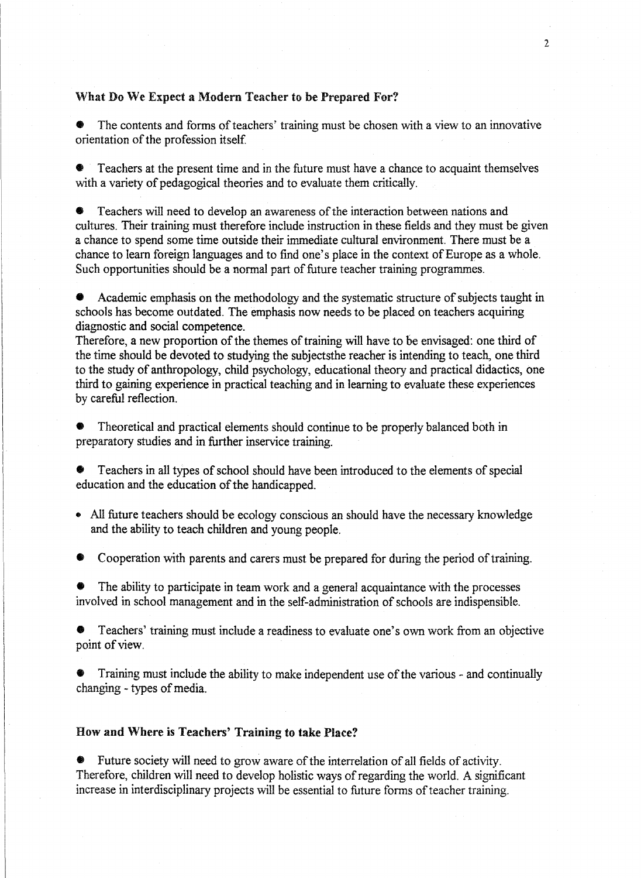#### What Do We Expect a Modern Teacher to be Prepared For?

The contents and forms of teachers' training must be chosen with a view to an innovative orientation of the profession itself

• Teachers at the present time and in the future must have a chance to acquaint themselves with a variety of pedagogical theories and to evaluate them critically.

• Teachers will need to develop an awareness of the interaction between nations and cultures. Their training must therefore include instruction in these fields and they must be given a chance to spend some time outside their immediate cultural environment. There must be a chance to learn foreign languages and to find one's place in the context of Europe as a whole. Such opportunities should be a normal part of future teacher training programmes.

• Academic emphasis on the methodology and the systematic structure of subjects taught in schools has become outdated. The emphasis now needs to be placed on teachers acquiring diagnostic and social competence.

Therefore, a new proportion of the themes of training will have to be envisaged: one third of the time should be devoted to studying the subjectsthe reacher is intending to teach, one third to the study of anthropology, child psychology, educational theory and practical didactics, one third to gaining experience in practical teaching and in learning to evaluate these experiences by careful reflection.

• Theoretical and practical elements should continue to be properly balanced both in preparatory studies and in further inservice training.

• Teachers in all types of school should have been introduced to the elements of special education and the education of the handicapped.

- All future teachers should be ecology conscious an should have the necessary knowledge and the ability to teach children and young people.
- Cooperation with parents and carers must be prepared for during the period of training.

The ability to participate in team work and a general acquaintance with the processes involved in school management and in the self-administration of schools are indispensible.

Teachers' training must include a readiness to evaluate one's own work from an objective point of view.

Training must include the ability to make independent use of the various - and continually changing - types of media.

#### How and Where is Teachers' Training to take Place?

• Future society will need to grow aware of the interrelation of all fields of activity. Therefore, children will need to develop holistic ways of regarding the world. A significant increase in interdisciplinary projects will be essential to future forms of teacher training.